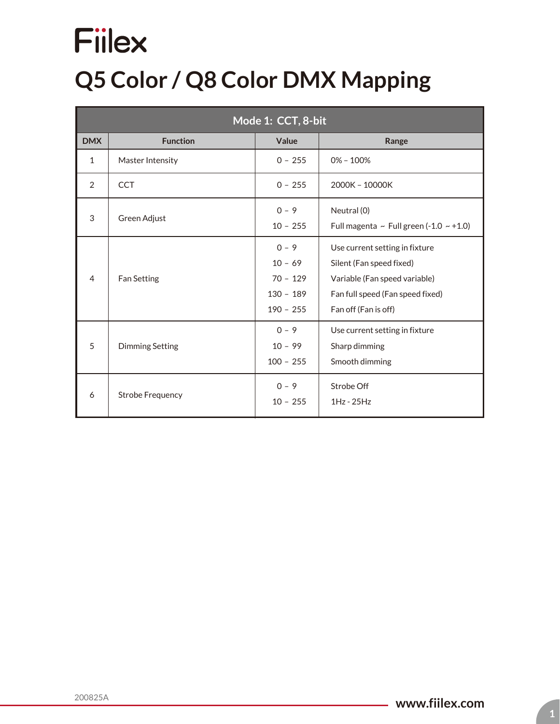### **Q5 Color / Q8 Color DMX Mapping**

| Mode 1: CCT, 8-bit |                          |                                                                  |                                                                                                                                                         |  |
|--------------------|--------------------------|------------------------------------------------------------------|---------------------------------------------------------------------------------------------------------------------------------------------------------|--|
| <b>DMX</b>         | Value<br><b>Function</b> |                                                                  | Range                                                                                                                                                   |  |
| $\mathbf{1}$       | Master Intensity         | $0 - 255$                                                        | $0\% - 100\%$                                                                                                                                           |  |
| $\mathcal{P}$      | <b>CCT</b>               | $0 - 255$                                                        | 2000K - 10000K                                                                                                                                          |  |
| 3                  | Green Adjust             | $0 - 9$<br>$10 - 255$                                            | Neutral (0)<br>Full magenta ~ Full green (-1.0 $\sim$ +1.0)                                                                                             |  |
| $\overline{4}$     | <b>Fan Setting</b>       | $0 - 9$<br>$10 - 69$<br>$70 - 129$<br>$130 - 189$<br>$190 - 255$ | Use current setting in fixture<br>Silent (Fan speed fixed)<br>Variable (Fan speed variable)<br>Fan full speed (Fan speed fixed)<br>Fan off (Fan is off) |  |
| 5                  | <b>Dimming Setting</b>   | $0 - 9$<br>$10 - 99$<br>$100 - 255$                              | Use current setting in fixture<br>Sharp dimming<br>Smooth dimming                                                                                       |  |
| 6                  | <b>Strobe Frequency</b>  | $0 - 9$<br>$10 - 255$                                            | Strobe Off<br>$1Hz - 25Hz$                                                                                                                              |  |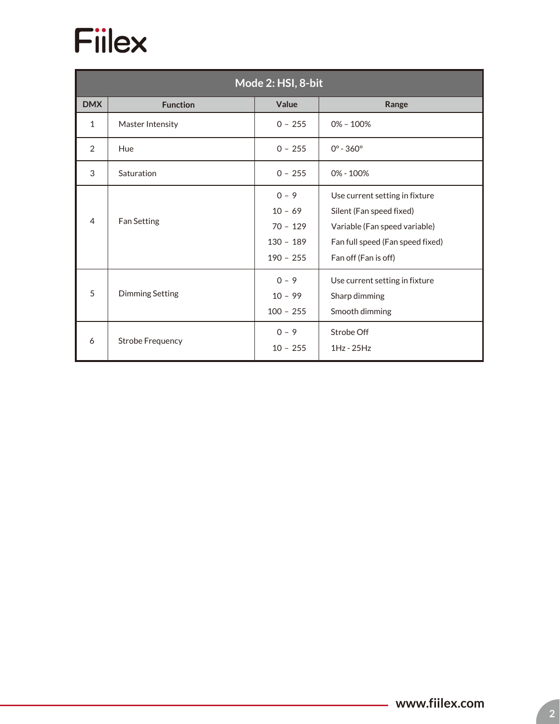

| Mode 2: HSI, 8-bit |                         |                                                                  |                                                                                                                                                         |  |
|--------------------|-------------------------|------------------------------------------------------------------|---------------------------------------------------------------------------------------------------------------------------------------------------------|--|
| <b>DMX</b>         | <b>Function</b>         | Value                                                            | Range                                                                                                                                                   |  |
| $\mathbf{1}$       | Master Intensity        | $0 - 255$                                                        | $0\% - 100\%$                                                                                                                                           |  |
| $\overline{2}$     | Hue                     | $0 - 255$                                                        | $0^{\circ} - 360^{\circ}$                                                                                                                               |  |
| 3                  | Saturation              | $0 - 255$                                                        | 0% - 100%                                                                                                                                               |  |
| $\overline{4}$     | <b>Fan Setting</b>      | $0 - 9$<br>$10 - 69$<br>$70 - 129$<br>$130 - 189$<br>$190 - 255$ | Use current setting in fixture<br>Silent (Fan speed fixed)<br>Variable (Fan speed variable)<br>Fan full speed (Fan speed fixed)<br>Fan off (Fan is off) |  |
| 5                  | <b>Dimming Setting</b>  | $0 - 9$<br>$10 - 99$<br>$100 - 255$                              | Use current setting in fixture<br>Sharp dimming<br>Smooth dimming                                                                                       |  |
| 6                  | <b>Strobe Frequency</b> | $0 - 9$<br>$10 - 255$                                            | Strobe Off<br>$1Hz - 25Hz$                                                                                                                              |  |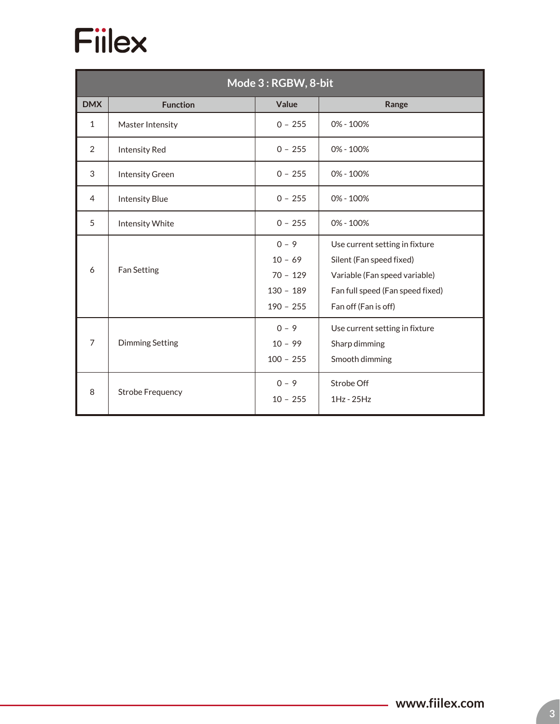| Mode 3: RGBW, 8-bit |                         |                                                                  |                                                                                                                                                         |  |
|---------------------|-------------------------|------------------------------------------------------------------|---------------------------------------------------------------------------------------------------------------------------------------------------------|--|
| <b>DMX</b>          | <b>Function</b>         | Value                                                            | Range                                                                                                                                                   |  |
| $\mathbf{1}$        | Master Intensity        | $0 - 255$                                                        | 0% - 100%                                                                                                                                               |  |
| $\overline{2}$      | <b>Intensity Red</b>    | $0 - 255$                                                        | 0% - 100%                                                                                                                                               |  |
| 3                   | <b>Intensity Green</b>  | $0 - 255$                                                        | 0% - 100%                                                                                                                                               |  |
| 4                   | <b>Intensity Blue</b>   | $0 - 255$                                                        | 0% - 100%                                                                                                                                               |  |
| 5                   | Intensity White         | $0 - 255$                                                        | $0\% - 100\%$                                                                                                                                           |  |
| 6                   | Fan Setting             | $0 - 9$<br>$10 - 69$<br>$70 - 129$<br>$130 - 189$<br>$190 - 255$ | Use current setting in fixture<br>Silent (Fan speed fixed)<br>Variable (Fan speed variable)<br>Fan full speed (Fan speed fixed)<br>Fan off (Fan is off) |  |
| $\overline{7}$      | <b>Dimming Setting</b>  | $0 - 9$<br>$10 - 99$<br>$100 - 255$                              | Use current setting in fixture<br>Sharp dimming<br>Smooth dimming                                                                                       |  |
| 8                   | <b>Strobe Frequency</b> | $0 - 9$<br>$10 - 255$                                            | Strobe Off<br>$1Hz - 25Hz$                                                                                                                              |  |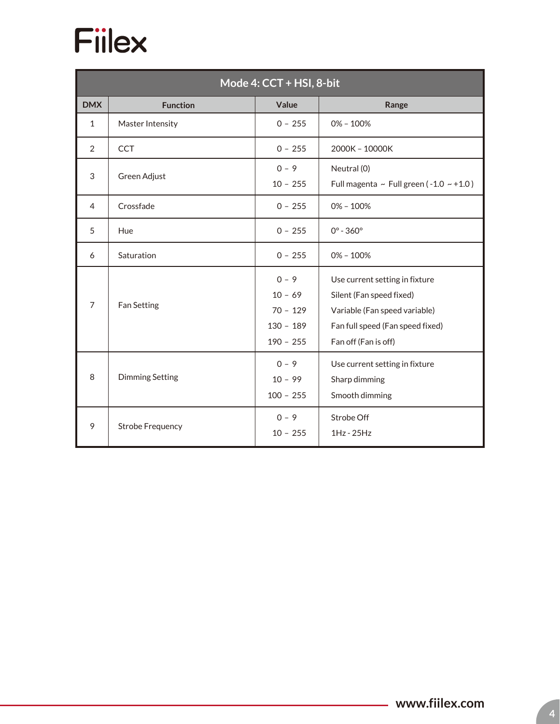

| Mode 4: CCT + HSI, 8-bit |                         |                                                                  |                                                                                                                                                         |  |
|--------------------------|-------------------------|------------------------------------------------------------------|---------------------------------------------------------------------------------------------------------------------------------------------------------|--|
| <b>DMX</b>               | <b>Function</b>         | Value                                                            | Range                                                                                                                                                   |  |
| $\mathbf{1}$             | Master Intensity        | $0 - 255$                                                        | $0\% - 100\%$                                                                                                                                           |  |
| $\overline{2}$           | <b>CCT</b>              | $0 - 255$                                                        | 2000K - 10000K                                                                                                                                          |  |
| 3                        | Green Adjust            | $0 - 9$<br>$10 - 255$                                            | Neutral (0)<br>Full magenta ~ Full green ( $-1.0 \sim +1.0$ )                                                                                           |  |
| 4                        | Crossfade               | $0 - 255$                                                        | $0\% - 100\%$                                                                                                                                           |  |
| 5                        | Hue                     | $0 - 255$                                                        | $0^{\circ} - 360^{\circ}$                                                                                                                               |  |
| 6                        | Saturation              | $0 - 255$                                                        | $0\% - 100\%$                                                                                                                                           |  |
| $\overline{7}$           | <b>Fan Setting</b>      | $0 - 9$<br>$10 - 69$<br>$70 - 129$<br>$130 - 189$<br>$190 - 255$ | Use current setting in fixture<br>Silent (Fan speed fixed)<br>Variable (Fan speed variable)<br>Fan full speed (Fan speed fixed)<br>Fan off (Fan is off) |  |
| 8                        | <b>Dimming Setting</b>  | $0 - 9$<br>$10 - 99$<br>$100 - 255$                              | Use current setting in fixture<br>Sharp dimming<br>Smooth dimming                                                                                       |  |
| 9                        | <b>Strobe Frequency</b> | $0 - 9$<br>$10 - 255$                                            | Strobe Off<br>$1Hz - 25Hz$                                                                                                                              |  |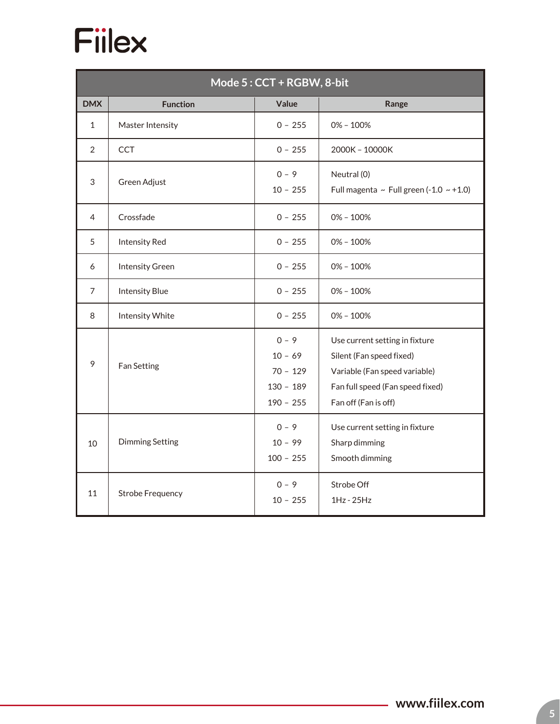| Mode 5: CCT + RGBW, 8-bit |                         |                                                                  |                                                                                                                                                         |  |  |
|---------------------------|-------------------------|------------------------------------------------------------------|---------------------------------------------------------------------------------------------------------------------------------------------------------|--|--|
| <b>DMX</b>                | <b>Function</b>         | Value                                                            | Range                                                                                                                                                   |  |  |
| $\mathbf{1}$              | Master Intensity        | $0 - 255$                                                        | $0\% - 100\%$                                                                                                                                           |  |  |
| 2                         | <b>CCT</b>              | $0 - 255$                                                        | 2000K - 10000K                                                                                                                                          |  |  |
| 3                         | Green Adjust            |                                                                  | Neutral (0)<br>Full magenta ~ Full green (-1.0 ~ +1.0)                                                                                                  |  |  |
| 4                         | Crossfade               | $0 - 255$                                                        | $0\% - 100\%$                                                                                                                                           |  |  |
| 5                         | <b>Intensity Red</b>    | $0 - 255$                                                        | $0\% - 100\%$                                                                                                                                           |  |  |
| 6                         | <b>Intensity Green</b>  | $0 - 255$                                                        | $0\% - 100\%$                                                                                                                                           |  |  |
| 7                         | <b>Intensity Blue</b>   | $0 - 255$                                                        | $0\% - 100\%$                                                                                                                                           |  |  |
| 8                         | Intensity White         | $0 - 255$                                                        | $0\% - 100\%$                                                                                                                                           |  |  |
| 9                         | <b>Fan Setting</b>      | $0 - 9$<br>$10 - 69$<br>$70 - 129$<br>$130 - 189$<br>$190 - 255$ | Use current setting in fixture<br>Silent (Fan speed fixed)<br>Variable (Fan speed variable)<br>Fan full speed (Fan speed fixed)<br>Fan off (Fan is off) |  |  |
| 10                        | <b>Dimming Setting</b>  | $0 - 9$<br>$10 - 99$<br>$100 - 255$                              | Use current setting in fixture<br>Sharp dimming<br>Smooth dimming                                                                                       |  |  |
| 11                        | <b>Strobe Frequency</b> | $0 - 9$<br>$10 - 255$                                            | Strobe Off<br>$1Hz - 25Hz$                                                                                                                              |  |  |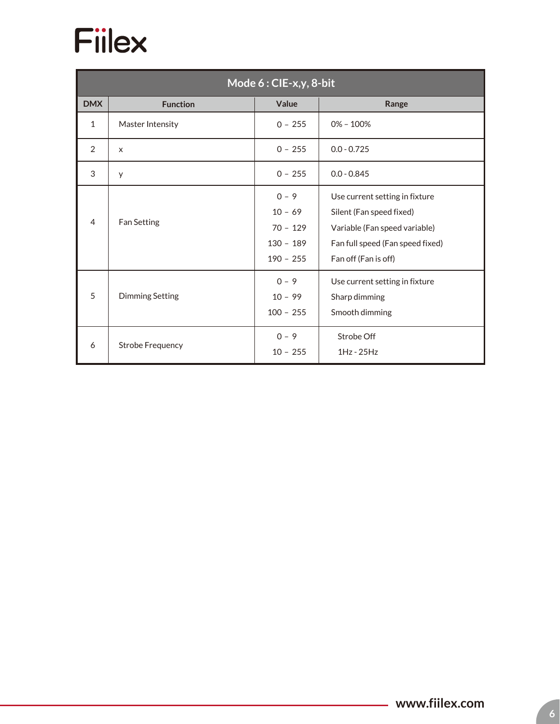

| Mode 6: CIE-x,y, 8-bit |                         |                                                                  |                                                                                                                                                         |  |
|------------------------|-------------------------|------------------------------------------------------------------|---------------------------------------------------------------------------------------------------------------------------------------------------------|--|
| <b>DMX</b>             | <b>Function</b>         | Value                                                            | Range                                                                                                                                                   |  |
| $\mathbf{1}$           | Master Intensity        | $0 - 255$                                                        | $0\% - 100\%$                                                                                                                                           |  |
| 2                      | X                       | $0 - 255$                                                        | $0.0 - 0.725$                                                                                                                                           |  |
| 3                      | У                       | $0 - 255$                                                        | $0.0 - 0.845$                                                                                                                                           |  |
| 4                      | Fan Setting             | $0 - 9$<br>$10 - 69$<br>$70 - 129$<br>$130 - 189$<br>$190 - 255$ | Use current setting in fixture<br>Silent (Fan speed fixed)<br>Variable (Fan speed variable)<br>Fan full speed (Fan speed fixed)<br>Fan off (Fan is off) |  |
| 5                      | <b>Dimming Setting</b>  | $0 - 9$<br>$10 - 99$<br>$100 - 255$                              | Use current setting in fixture<br>Sharp dimming<br>Smooth dimming                                                                                       |  |
| 6                      | <b>Strobe Frequency</b> | $0 - 9$<br>$10 - 255$                                            | Strobe Off<br>$1Hz - 25Hz$                                                                                                                              |  |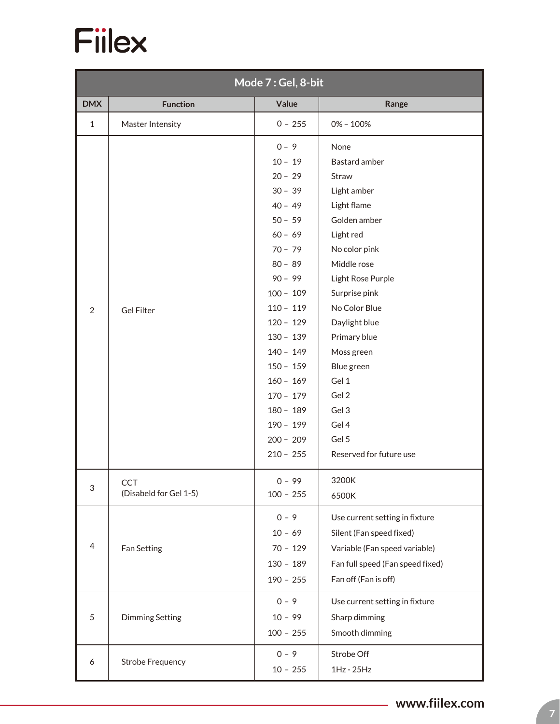

| Mode 7: Gel, 8-bit        |                                      |                                                                                                                                                                                                                                                                                                                  |                                                                                                                                                                                                                                                                                                                       |  |  |
|---------------------------|--------------------------------------|------------------------------------------------------------------------------------------------------------------------------------------------------------------------------------------------------------------------------------------------------------------------------------------------------------------|-----------------------------------------------------------------------------------------------------------------------------------------------------------------------------------------------------------------------------------------------------------------------------------------------------------------------|--|--|
| <b>DMX</b>                | <b>Function</b>                      | Value                                                                                                                                                                                                                                                                                                            | Range                                                                                                                                                                                                                                                                                                                 |  |  |
| $\mathbf{1}$              | Master Intensity                     | $0 - 255$                                                                                                                                                                                                                                                                                                        | $0\% - 100\%$                                                                                                                                                                                                                                                                                                         |  |  |
| $\overline{2}$            | <b>Gel Filter</b>                    | $0 - 9$<br>$10 - 19$<br>$20 - 29$<br>$30 - 39$<br>$40 - 49$<br>$50 - 59$<br>$60 - 69$<br>$70 - 79$<br>$80 - 89$<br>$90 - 99$<br>$100 - 109$<br>$110 - 119$<br>$120 - 129$<br>$130 - 139$<br>$140 - 149$<br>$150 - 159$<br>$160 - 169$<br>$170 - 179$<br>$180 - 189$<br>$190 - 199$<br>$200 - 209$<br>$210 - 255$ | None<br>Bastard amber<br>Straw<br>Light amber<br>Light flame<br>Golden amber<br>Light red<br>No color pink<br>Middle rose<br>Light Rose Purple<br>Surprise pink<br>No Color Blue<br>Daylight blue<br>Primary blue<br>Moss green<br>Blue green<br>Gel 1<br>Gel 2<br>Gel 3<br>Gel 4<br>Gel 5<br>Reserved for future use |  |  |
| $\ensuremath{\mathsf{3}}$ | <b>CCT</b><br>(Disabeld for Gel 1-5) | $0 - 99$<br>$100 - 255$                                                                                                                                                                                                                                                                                          | 3200K<br>6500K                                                                                                                                                                                                                                                                                                        |  |  |
| 4                         | Fan Setting                          | $0 - 9$<br>$10 - 69$<br>$70 - 129$<br>$130 - 189$<br>$190 - 255$                                                                                                                                                                                                                                                 | Use current setting in fixture<br>Silent (Fan speed fixed)<br>Variable (Fan speed variable)<br>Fan full speed (Fan speed fixed)<br>Fan off (Fan is off)                                                                                                                                                               |  |  |
| $\sqrt{5}$                | <b>Dimming Setting</b>               | $0 - 9$<br>$10 - 99$<br>$100 - 255$                                                                                                                                                                                                                                                                              | Use current setting in fixture<br>Sharp dimming<br>Smooth dimming                                                                                                                                                                                                                                                     |  |  |
| 6                         | <b>Strobe Frequency</b>              | $0 - 9$<br>$10 - 255$                                                                                                                                                                                                                                                                                            | Strobe Off<br>1Hz - 25Hz                                                                                                                                                                                                                                                                                              |  |  |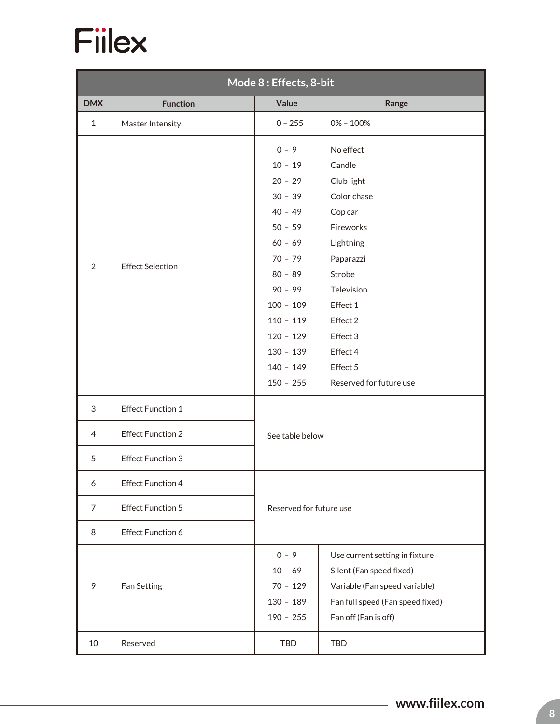

|                | Mode 8 : Effects, 8-bit  |                                                                                                                                                                                          |                                                                                                                                                                            |  |  |
|----------------|--------------------------|------------------------------------------------------------------------------------------------------------------------------------------------------------------------------------------|----------------------------------------------------------------------------------------------------------------------------------------------------------------------------|--|--|
| <b>DMX</b>     | <b>Function</b>          | Value                                                                                                                                                                                    | Range                                                                                                                                                                      |  |  |
| $\mathbf{1}$   | Master Intensity         | $0 - 255$                                                                                                                                                                                | $0\% - 100\%$                                                                                                                                                              |  |  |
| $\overline{2}$ | <b>Effect Selection</b>  | $0 - 9$<br>$10 - 19$<br>$20 - 29$<br>$30 - 39$<br>$40 - 49$<br>$50 - 59$<br>$60 - 69$<br>$70 - 79$<br>$80 - 89$<br>$90 - 99$<br>$100 - 109$<br>$110 - 119$<br>$120 - 129$<br>$130 - 139$ | No effect<br>Candle<br>Club light<br>Color chase<br>Cop car<br>Fireworks<br>Lightning<br>Paparazzi<br>Strobe<br>Television<br>Effect 1<br>Effect 2<br>Effect 3<br>Effect 4 |  |  |
|                |                          | $140 - 149$<br>$150 - 255$                                                                                                                                                               | Effect 5<br>Reserved for future use                                                                                                                                        |  |  |
| 3              | <b>Effect Function 1</b> |                                                                                                                                                                                          |                                                                                                                                                                            |  |  |
| $\overline{4}$ | <b>Effect Function 2</b> | See table below                                                                                                                                                                          |                                                                                                                                                                            |  |  |
| 5              | <b>Effect Function 3</b> |                                                                                                                                                                                          |                                                                                                                                                                            |  |  |
| 6              | <b>Effect Function 4</b> |                                                                                                                                                                                          |                                                                                                                                                                            |  |  |
| $\overline{7}$ | <b>Effect Function 5</b> | Reserved for future use                                                                                                                                                                  |                                                                                                                                                                            |  |  |
| 8              | <b>Effect Function 6</b> |                                                                                                                                                                                          |                                                                                                                                                                            |  |  |
| 9              | Fan Setting              | $0 - 9$<br>$10 - 69$<br>$70 - 129$<br>$130 - 189$<br>$190 - 255$                                                                                                                         | Use current setting in fixture<br>Silent (Fan speed fixed)<br>Variable (Fan speed variable)<br>Fan full speed (Fan speed fixed)<br>Fan off (Fan is off)                    |  |  |
| 10             | Reserved                 | TBD                                                                                                                                                                                      | <b>TBD</b>                                                                                                                                                                 |  |  |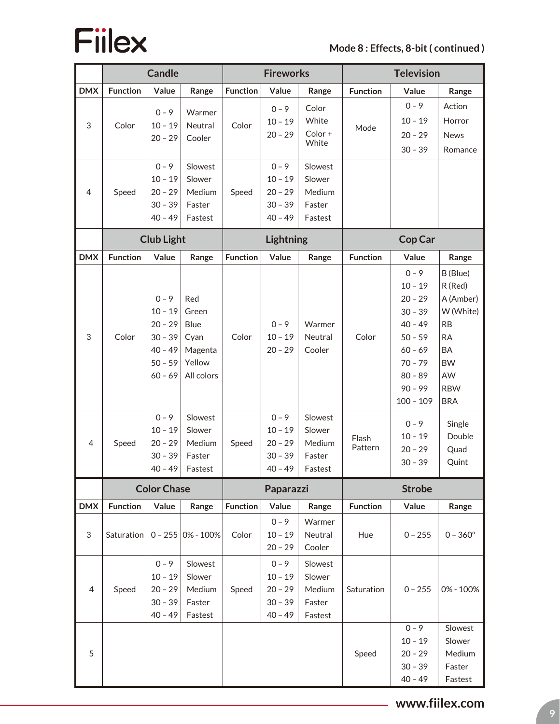

#### **Mode 8 : Effects, 8-bit ( continued )**

|                 |                 | <b>Candle</b>                                                                                                              |                                                                                                       | <b>Fireworks</b> |                                                                        |                                                            | <b>Television</b> |                                                                                                                                                                     |                                                                                                                                           |
|-----------------|-----------------|----------------------------------------------------------------------------------------------------------------------------|-------------------------------------------------------------------------------------------------------|------------------|------------------------------------------------------------------------|------------------------------------------------------------|-------------------|---------------------------------------------------------------------------------------------------------------------------------------------------------------------|-------------------------------------------------------------------------------------------------------------------------------------------|
| <b>DMX</b>      | <b>Function</b> | Value                                                                                                                      | Range                                                                                                 | <b>Function</b>  | Value                                                                  | Range                                                      | <b>Function</b>   | Value                                                                                                                                                               | Range                                                                                                                                     |
| 3               | Color           | $0 - 9$<br>$10 - 19$<br>$20 - 29$                                                                                          | Warmer<br>Neutral<br>Cooler                                                                           | Color            | $0 - 9$<br>$10 - 19$<br>$20 - 29$                                      | Color<br>White<br>Color+<br>White                          | Mode              | $0 - 9$<br>$10 - 19$<br>$20 - 29$<br>$30 - 39$                                                                                                                      | Action<br>Horror<br><b>News</b><br>Romance                                                                                                |
| 4               | Speed           | $0 - 9$<br>$10 - 19$<br>$20 - 29$<br>$30 - 39$<br>$40 - 49$                                                                | Slowest<br>Slower<br>Medium<br>Faster<br>Fastest                                                      | Speed            | $0 - 9$<br>$10 - 19$<br>$20 - 29$<br>$30 - 39$<br>$40 - 49$            | Slowest<br>Slower<br>Medium<br>Faster<br>Fastest           |                   |                                                                                                                                                                     |                                                                                                                                           |
|                 |                 | <b>Club Light</b>                                                                                                          |                                                                                                       |                  | Lightning                                                              |                                                            |                   | Cop Car                                                                                                                                                             |                                                                                                                                           |
| <b>DMX</b>      | <b>Function</b> | Value                                                                                                                      | Range                                                                                                 | <b>Function</b>  | Value                                                                  | Range                                                      | <b>Function</b>   | Value                                                                                                                                                               | Range                                                                                                                                     |
| $\sqrt{3}$<br>4 | Color<br>Speed  | $0 - 9$<br>$10 - 19$<br>$20 - 29$<br>$30 - 39$<br>$40 - 49$<br>$50 - 59$<br>$60 - 69$<br>$0 - 9$<br>$10 - 19$<br>$20 - 29$ | Red<br>Green<br><b>Blue</b><br>Cyan<br>Magenta<br>Yellow<br>All colors<br>Slowest<br>Slower<br>Medium | Color<br>Speed   | $0 - 9$<br>$10 - 19$<br>$20 - 29$<br>$0 - 9$<br>$10 - 19$<br>$20 - 29$ | Warmer<br>Neutral<br>Cooler<br>Slowest<br>Slower<br>Medium | Color<br>Flash    | $0 - 9$<br>$10 - 19$<br>$20 - 29$<br>$30 - 39$<br>$40 - 49$<br>$50 - 59$<br>$60 - 69$<br>$70 - 79$<br>$80 - 89$<br>$90 - 99$<br>$100 - 109$<br>$0 - 9$<br>$10 - 19$ | B (Blue)<br>R (Red)<br>A (Amber)<br>W (White)<br>RB<br><b>RA</b><br>BA<br><b>BW</b><br>AW<br><b>RBW</b><br><b>BRA</b><br>Single<br>Double |
|                 |                 | $30 - 39$                                                                                                                  | Faster                                                                                                |                  | $30 - 39$                                                              | Faster                                                     | Pattern           | $20 - 29$<br>$30 - 39$                                                                                                                                              | Quad<br>Quint                                                                                                                             |
|                 |                 | $40 - 49$                                                                                                                  | Fastest                                                                                               |                  | $40 - 49$                                                              | Fastest                                                    |                   |                                                                                                                                                                     |                                                                                                                                           |
|                 |                 | <b>Color Chase</b>                                                                                                         |                                                                                                       | Paparazzi        |                                                                        | <b>Strobe</b>                                              |                   |                                                                                                                                                                     |                                                                                                                                           |
| <b>DMX</b>      | <b>Function</b> | Value                                                                                                                      | Range                                                                                                 | <b>Function</b>  | Value                                                                  | Range                                                      | <b>Function</b>   | Value                                                                                                                                                               | Range                                                                                                                                     |
| 3               | Saturation      |                                                                                                                            | $0 - 255  0% - 100% $                                                                                 | Color            | $0 - 9$<br>$10 - 19$<br>$20 - 29$                                      | Warmer<br>Neutral<br>Cooler                                | Hue               | $0 - 255$                                                                                                                                                           | $0 - 360^{\circ}$                                                                                                                         |
| $\overline{4}$  | Speed           | $0 - 9$<br>$10 - 19$<br>$20 - 29$<br>$30 - 39$<br>$40 - 49$                                                                | Slowest<br>Slower<br>Medium<br>Faster<br>Fastest                                                      | Speed            | $0 - 9$<br>$10 - 19$<br>$20 - 29$<br>$30 - 39$<br>$40 - 49$            | Slowest<br>Slower<br>Medium<br>Faster<br>Fastest           | Saturation        | $0 - 255$                                                                                                                                                           | 0% - 100%                                                                                                                                 |
| 5               |                 |                                                                                                                            |                                                                                                       |                  |                                                                        |                                                            | Speed             | $0 - 9$<br>$10 - 19$<br>$20 - 29$<br>$30 - 39$<br>$40 - 49$                                                                                                         | Slowest<br>Slower<br>Medium<br>Faster<br>Fastest                                                                                          |

#### **www.fiilex.com**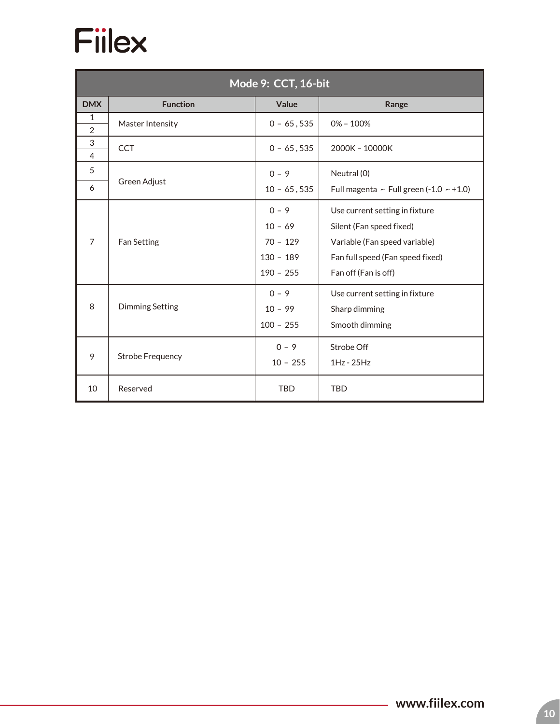

| Mode 9: CCT, 16-bit            |                                   |                                                                  |                                                                                                                                                         |  |  |
|--------------------------------|-----------------------------------|------------------------------------------------------------------|---------------------------------------------------------------------------------------------------------------------------------------------------------|--|--|
| <b>DMX</b>                     | <b>Function</b><br>Value<br>Range |                                                                  |                                                                                                                                                         |  |  |
| $\mathbf{1}$<br>$\overline{2}$ | Master Intensity                  | $0 - 65,535$                                                     | $0\% - 100\%$                                                                                                                                           |  |  |
| 3<br>$\overline{4}$            | <b>CCT</b>                        | $0 - 65,535$                                                     | 2000K - 10000K                                                                                                                                          |  |  |
| 5<br>6                         | Green Adjust                      | $0 - 9$<br>$10 - 65, 535$                                        | Neutral (0)<br>Full magenta ~ Full green (-1.0 ~ +1.0)                                                                                                  |  |  |
| $\overline{7}$                 | Fan Setting                       | $0 - 9$<br>$10 - 69$<br>$70 - 129$<br>$130 - 189$<br>$190 - 255$ | Use current setting in fixture<br>Silent (Fan speed fixed)<br>Variable (Fan speed variable)<br>Fan full speed (Fan speed fixed)<br>Fan off (Fan is off) |  |  |
| 8                              | <b>Dimming Setting</b>            | $0 - 9$<br>$10 - 99$<br>$100 - 255$                              | Use current setting in fixture<br>Sharp dimming<br>Smooth dimming                                                                                       |  |  |
| 9                              | <b>Strobe Frequency</b>           | $0 - 9$<br>$10 - 255$                                            | Strobe Off<br>$1Hz - 25Hz$                                                                                                                              |  |  |
| 10                             | Reserved                          | <b>TBD</b>                                                       | <b>TBD</b>                                                                                                                                              |  |  |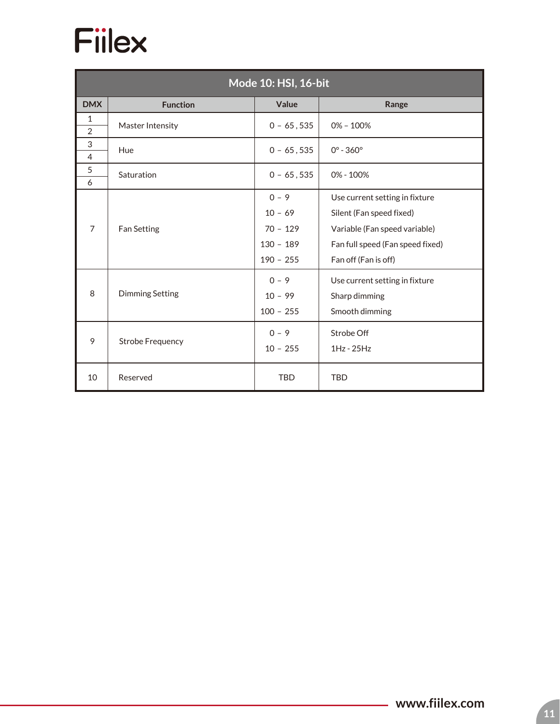

| Mode 10: HSI, 16-bit           |                                   |                                                                  |                                                                                                                                                         |  |  |  |
|--------------------------------|-----------------------------------|------------------------------------------------------------------|---------------------------------------------------------------------------------------------------------------------------------------------------------|--|--|--|
| <b>DMX</b>                     | Value<br><b>Function</b><br>Range |                                                                  |                                                                                                                                                         |  |  |  |
| $\mathbf{1}$<br>$\overline{2}$ | Master Intensity                  | $0 - 65,535$                                                     | $0\% - 100\%$                                                                                                                                           |  |  |  |
| 3<br>$\overline{4}$            | Hue                               | $0 - 65,535$                                                     | $0^{\circ} - 360^{\circ}$                                                                                                                               |  |  |  |
| 5<br>6                         | Saturation                        | $0 - 65,535$                                                     | 0% - 100%                                                                                                                                               |  |  |  |
| $\overline{7}$                 | <b>Fan Setting</b>                | $0 - 9$<br>$10 - 69$<br>$70 - 129$<br>$130 - 189$<br>$190 - 255$ | Use current setting in fixture<br>Silent (Fan speed fixed)<br>Variable (Fan speed variable)<br>Fan full speed (Fan speed fixed)<br>Fan off (Fan is off) |  |  |  |
| 8                              | <b>Dimming Setting</b>            | $0 - 9$<br>$10 - 99$<br>$100 - 255$                              | Use current setting in fixture<br>Sharp dimming<br>Smooth dimming                                                                                       |  |  |  |
| 9                              | <b>Strobe Frequency</b>           | $0 - 9$<br>$10 - 255$                                            | Strobe Off<br>$1Hz - 25Hz$                                                                                                                              |  |  |  |
| 10                             | Reserved                          | <b>TBD</b>                                                       | <b>TBD</b>                                                                                                                                              |  |  |  |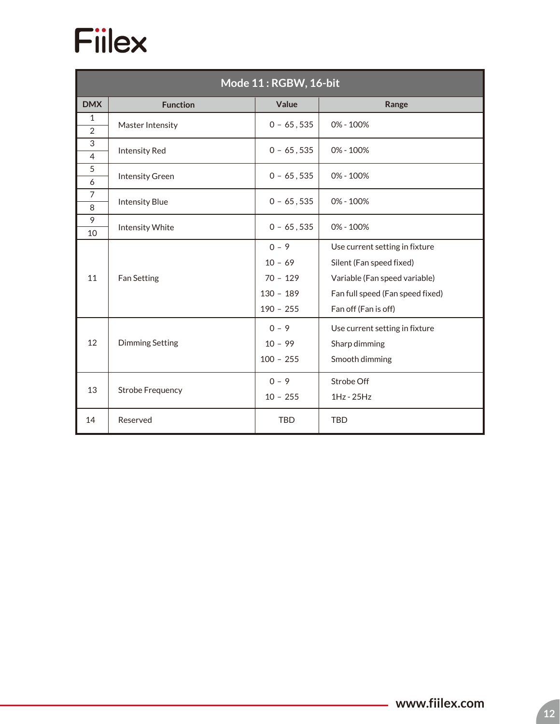| Mode 11: RGBW, 16-bit |                                   |                                                                  |                                                                                                                                                         |  |  |  |
|-----------------------|-----------------------------------|------------------------------------------------------------------|---------------------------------------------------------------------------------------------------------------------------------------------------------|--|--|--|
| <b>DMX</b>            | Value<br><b>Function</b><br>Range |                                                                  |                                                                                                                                                         |  |  |  |
| 1<br>$\overline{2}$   | Master Intensity                  | $0 - 65,535$                                                     | 0% - 100%                                                                                                                                               |  |  |  |
| 3<br>$\overline{4}$   | <b>Intensity Red</b>              | $0 - 65,535$                                                     | 0% - 100%                                                                                                                                               |  |  |  |
| 5<br>6                | <b>Intensity Green</b>            | $0 - 65, 535$                                                    | 0% - 100%                                                                                                                                               |  |  |  |
| $\overline{7}$<br>8   | <b>Intensity Blue</b>             | $0 - 65, 535$                                                    | $0\% - 100\%$                                                                                                                                           |  |  |  |
| 9<br>10               | Intensity White                   | $0 - 65,535$                                                     | $0\% - 100\%$                                                                                                                                           |  |  |  |
| 11                    | Fan Setting                       | $0 - 9$<br>$10 - 69$<br>$70 - 129$<br>$130 - 189$<br>$190 - 255$ | Use current setting in fixture<br>Silent (Fan speed fixed)<br>Variable (Fan speed variable)<br>Fan full speed (Fan speed fixed)<br>Fan off (Fan is off) |  |  |  |
| 12                    | <b>Dimming Setting</b>            | $0 - 9$<br>$10 - 99$<br>$100 - 255$                              | Use current setting in fixture<br>Sharp dimming<br>Smooth dimming                                                                                       |  |  |  |
| 13                    | <b>Strobe Frequency</b>           | $0 - 9$<br>$10 - 255$                                            | Strobe Off<br>$1Hz - 25Hz$                                                                                                                              |  |  |  |
| 14                    | Reserved                          | <b>TBD</b>                                                       | <b>TBD</b>                                                                                                                                              |  |  |  |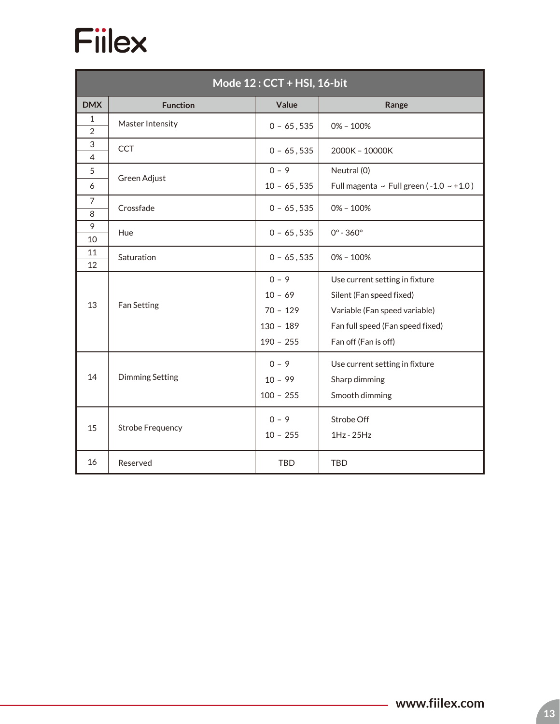

| Mode 12: CCT + HSI, 16-bit |                         |                                                                  |                                                                                                                                                         |  |  |  |
|----------------------------|-------------------------|------------------------------------------------------------------|---------------------------------------------------------------------------------------------------------------------------------------------------------|--|--|--|
| <b>DMX</b>                 | <b>Function</b>         | Value                                                            | Range                                                                                                                                                   |  |  |  |
| $\mathbf{1}$               | Master Intensity        | $0 - 65,535$                                                     | $0\% - 100\%$                                                                                                                                           |  |  |  |
| $\overline{2}$<br>3        |                         |                                                                  |                                                                                                                                                         |  |  |  |
| 4                          | <b>CCT</b>              | $0 - 65,535$                                                     | 2000K - 10000K                                                                                                                                          |  |  |  |
| 5                          |                         | $0 - 9$                                                          | Neutral (0)                                                                                                                                             |  |  |  |
| 6                          | Green Adjust            | $10 - 65, 535$                                                   | Full magenta ~ Full green ( $-1.0 \sim +1.0$ )                                                                                                          |  |  |  |
| $\overline{7}$<br>8        | Crossfade               | $0 - 65,535$                                                     | $0\% - 100\%$                                                                                                                                           |  |  |  |
| 9<br>10                    | Hue                     | $0 - 65,535$                                                     | $0^{\circ} - 360^{\circ}$                                                                                                                               |  |  |  |
| 11<br>12                   | Saturation              | $0 - 65,535$                                                     | $0\% - 100\%$                                                                                                                                           |  |  |  |
| 13                         | Fan Setting             | $0 - 9$<br>$10 - 69$<br>$70 - 129$<br>$130 - 189$<br>$190 - 255$ | Use current setting in fixture<br>Silent (Fan speed fixed)<br>Variable (Fan speed variable)<br>Fan full speed (Fan speed fixed)<br>Fan off (Fan is off) |  |  |  |
| 14                         | <b>Dimming Setting</b>  | $0 - 9$<br>$10 - 99$<br>$100 - 255$                              | Use current setting in fixture<br>Sharp dimming<br>Smooth dimming                                                                                       |  |  |  |
| 15                         | <b>Strobe Frequency</b> | $0 - 9$<br>$10 - 255$                                            | Strobe Off<br>1Hz - 25Hz                                                                                                                                |  |  |  |
| 16                         | Reserved                | <b>TBD</b>                                                       | <b>TBD</b>                                                                                                                                              |  |  |  |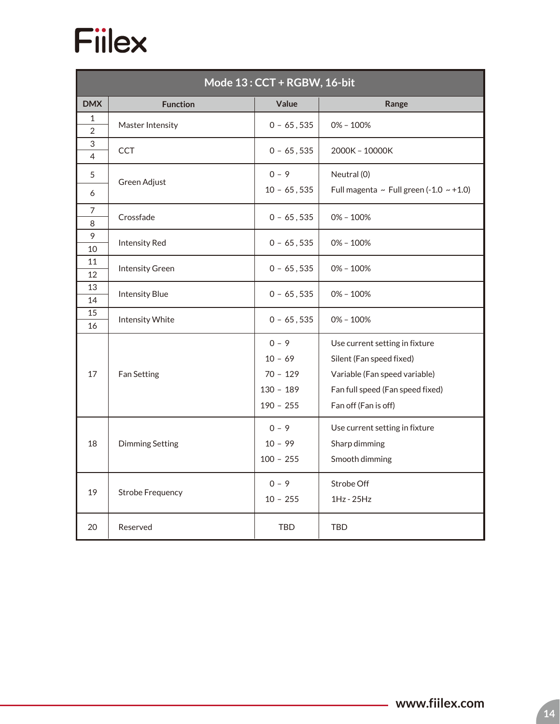

| Mode 13: CCT + RGBW, 16-bit |                         |                                                                  |                                                                                                                                                         |  |  |  |  |
|-----------------------------|-------------------------|------------------------------------------------------------------|---------------------------------------------------------------------------------------------------------------------------------------------------------|--|--|--|--|
| <b>DMX</b>                  | <b>Function</b>         | Value                                                            | Range                                                                                                                                                   |  |  |  |  |
| 1<br>$\overline{2}$         | Master Intensity        | $0 - 65,535$                                                     | $0\% - 100\%$                                                                                                                                           |  |  |  |  |
| 3<br>4                      | <b>CCT</b>              | $0 - 65, 535$                                                    | 2000K - 10000K                                                                                                                                          |  |  |  |  |
| 5                           | Green Adjust            | $0 - 9$                                                          | Neutral (0)                                                                                                                                             |  |  |  |  |
| 6                           |                         | $10 - 65, 535$                                                   | Full magenta ~ Full green $(-1.0 \sim +1.0)$                                                                                                            |  |  |  |  |
| 7<br>8                      | Crossfade               | $0 - 65,535$                                                     | $0\% - 100\%$                                                                                                                                           |  |  |  |  |
| 9<br>10                     | <b>Intensity Red</b>    | $0 - 65, 535$                                                    | $0\% - 100\%$                                                                                                                                           |  |  |  |  |
| 11<br>12                    | <b>Intensity Green</b>  | $0 - 65, 535$                                                    | $0\% - 100\%$                                                                                                                                           |  |  |  |  |
| 13<br>14                    | <b>Intensity Blue</b>   | $0 - 65,535$                                                     | $0\% - 100\%$                                                                                                                                           |  |  |  |  |
| 15<br>16                    | Intensity White         | $0 - 65, 535$                                                    | $0\% - 100\%$                                                                                                                                           |  |  |  |  |
| 17                          | Fan Setting             | $0 - 9$<br>$10 - 69$<br>$70 - 129$<br>$130 - 189$<br>$190 - 255$ | Use current setting in fixture<br>Silent (Fan speed fixed)<br>Variable (Fan speed variable)<br>Fan full speed (Fan speed fixed)<br>Fan off (Fan is off) |  |  |  |  |
| 18                          | <b>Dimming Setting</b>  | $0 - 9$<br>$10 - 99$<br>$100 - 255$                              | Use current setting in fixture<br>Sharp dimming<br>Smooth dimming                                                                                       |  |  |  |  |
| 19                          | <b>Strobe Frequency</b> | $0 - 9$<br>$10 - 255$                                            | Strobe Off<br>1Hz - 25Hz                                                                                                                                |  |  |  |  |
| 20                          | Reserved                | <b>TBD</b>                                                       | <b>TBD</b>                                                                                                                                              |  |  |  |  |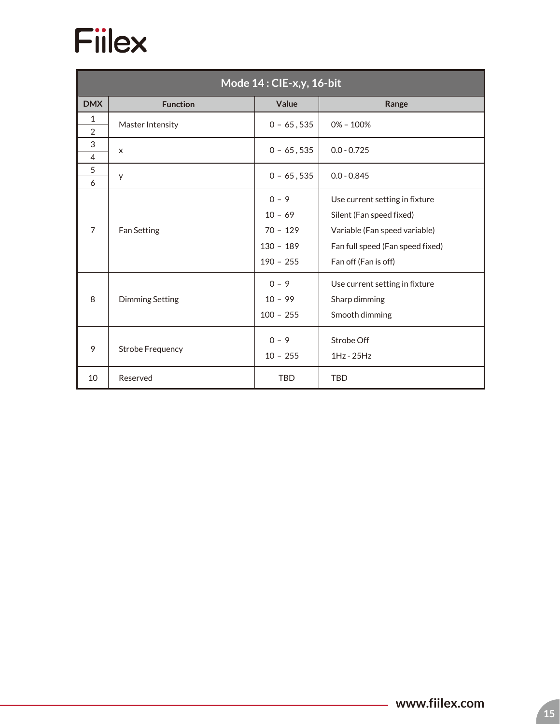

| Mode 14: CIE-x,y, 16-bit       |                         |                                                                  |                                                                                                                                                         |  |  |  |  |
|--------------------------------|-------------------------|------------------------------------------------------------------|---------------------------------------------------------------------------------------------------------------------------------------------------------|--|--|--|--|
| <b>DMX</b>                     | <b>Function</b>         | Value                                                            | Range                                                                                                                                                   |  |  |  |  |
| $\mathbf{1}$<br>$\overline{2}$ | Master Intensity        | $0 - 65,535$                                                     | $0\% - 100\%$                                                                                                                                           |  |  |  |  |
| 3<br>4                         | X                       | $0 - 65, 535$                                                    | $0.0 - 0.725$                                                                                                                                           |  |  |  |  |
| 5<br>6                         | y                       | $0 - 65,535$                                                     | $0.0 - 0.845$                                                                                                                                           |  |  |  |  |
| $\overline{7}$                 | Fan Setting             | $0 - 9$<br>$10 - 69$<br>$70 - 129$<br>$130 - 189$<br>$190 - 255$ | Use current setting in fixture<br>Silent (Fan speed fixed)<br>Variable (Fan speed variable)<br>Fan full speed (Fan speed fixed)<br>Fan off (Fan is off) |  |  |  |  |
| 8                              | <b>Dimming Setting</b>  | $0 - 9$<br>$10 - 99$<br>$100 - 255$                              | Use current setting in fixture<br>Sharp dimming<br>Smooth dimming                                                                                       |  |  |  |  |
| 9                              | <b>Strobe Frequency</b> | $0 - 9$<br>$10 - 255$                                            | Strobe Off<br>$1Hz - 25Hz$                                                                                                                              |  |  |  |  |
| 10                             | Reserved                | <b>TBD</b>                                                       | <b>TBD</b>                                                                                                                                              |  |  |  |  |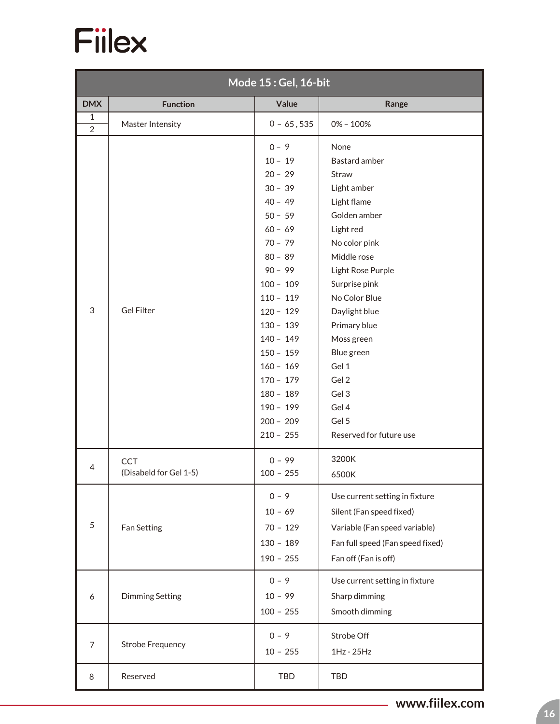

| Mode 15: Gel, 16-bit           |                                      |                                                                                                                                                                                                                                                                                                                  |                                                                                                                                                                                                                                                                                                                       |  |  |  |
|--------------------------------|--------------------------------------|------------------------------------------------------------------------------------------------------------------------------------------------------------------------------------------------------------------------------------------------------------------------------------------------------------------|-----------------------------------------------------------------------------------------------------------------------------------------------------------------------------------------------------------------------------------------------------------------------------------------------------------------------|--|--|--|
| <b>DMX</b>                     | <b>Function</b>                      | Value                                                                                                                                                                                                                                                                                                            | Range                                                                                                                                                                                                                                                                                                                 |  |  |  |
| $\mathbf{1}$<br>$\overline{2}$ | Master Intensity                     | $0 - 65,535$                                                                                                                                                                                                                                                                                                     | $0\% - 100\%$                                                                                                                                                                                                                                                                                                         |  |  |  |
| $\mathfrak{Z}$                 | <b>Gel Filter</b>                    | $0 - 9$<br>$10 - 19$<br>$20 - 29$<br>$30 - 39$<br>$40 - 49$<br>$50 - 59$<br>$60 - 69$<br>$70 - 79$<br>$80 - 89$<br>$90 - 99$<br>$100 - 109$<br>$110 - 119$<br>$120 - 129$<br>$130 - 139$<br>$140 - 149$<br>$150 - 159$<br>$160 - 169$<br>$170 - 179$<br>$180 - 189$<br>$190 - 199$<br>$200 - 209$<br>$210 - 255$ | None<br>Bastard amber<br>Straw<br>Light amber<br>Light flame<br>Golden amber<br>Light red<br>No color pink<br>Middle rose<br>Light Rose Purple<br>Surprise pink<br>No Color Blue<br>Daylight blue<br>Primary blue<br>Moss green<br>Blue green<br>Gel 1<br>Gel 2<br>Gel 3<br>Gel 4<br>Gel 5<br>Reserved for future use |  |  |  |
| 4                              | <b>CCT</b><br>(Disabeld for Gel 1-5) | $0 - 99$<br>$100 - 255$                                                                                                                                                                                                                                                                                          | 3200K<br>6500K                                                                                                                                                                                                                                                                                                        |  |  |  |
| 5                              | Fan Setting                          | $0 - 9$<br>$10 - 69$<br>$70 - 129$<br>$130 - 189$<br>$190 - 255$                                                                                                                                                                                                                                                 | Use current setting in fixture<br>Silent (Fan speed fixed)<br>Variable (Fan speed variable)<br>Fan full speed (Fan speed fixed)<br>Fan off (Fan is off)                                                                                                                                                               |  |  |  |
| 6                              | <b>Dimming Setting</b>               | $0 - 9$<br>$10 - 99$<br>$100 - 255$                                                                                                                                                                                                                                                                              | Use current setting in fixture<br>Sharp dimming<br>Smooth dimming                                                                                                                                                                                                                                                     |  |  |  |
| $\overline{7}$                 | <b>Strobe Frequency</b>              | $0 - 9$<br>$10 - 255$                                                                                                                                                                                                                                                                                            | Strobe Off<br>1Hz - 25Hz                                                                                                                                                                                                                                                                                              |  |  |  |
| 8                              | Reserved                             | <b>TBD</b>                                                                                                                                                                                                                                                                                                       | <b>TBD</b>                                                                                                                                                                                                                                                                                                            |  |  |  |

**www.fiilex.com**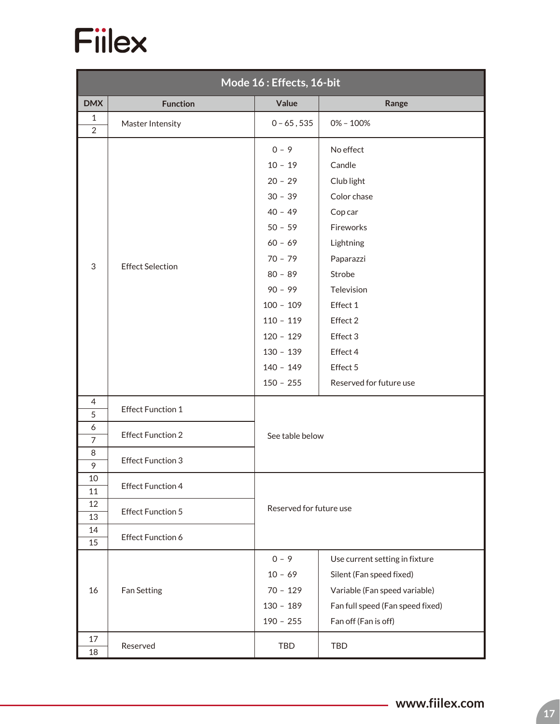

| Mode 16: Effects, 16-bit |                          |                                                                                                                                                                                                         |                                                                                                                                                                                        |  |  |  |  |
|--------------------------|--------------------------|---------------------------------------------------------------------------------------------------------------------------------------------------------------------------------------------------------|----------------------------------------------------------------------------------------------------------------------------------------------------------------------------------------|--|--|--|--|
| <b>DMX</b>               | <b>Function</b>          | Value                                                                                                                                                                                                   | Range                                                                                                                                                                                  |  |  |  |  |
| $1\,$<br>$\overline{2}$  | Master Intensity         | $0 - 65, 535$                                                                                                                                                                                           | $0\% - 100\%$                                                                                                                                                                          |  |  |  |  |
| 3                        | <b>Effect Selection</b>  | $0 - 9$<br>$10 - 19$<br>$20 - 29$<br>$30 - 39$<br>$40 - 49$<br>$50 - 59$<br>$60 - 69$<br>$70 - 79$<br>$80 - 89$<br>$90 - 99$<br>$100 - 109$<br>$110 - 119$<br>$120 - 129$<br>$130 - 139$<br>$140 - 149$ | No effect<br>Candle<br>Club light<br>Color chase<br>Cop car<br>Fireworks<br>Lightning<br>Paparazzi<br>Strobe<br>Television<br>Effect 1<br>Effect 2<br>Effect 3<br>Effect 4<br>Effect 5 |  |  |  |  |
| 4                        |                          | $150 - 255$                                                                                                                                                                                             | Reserved for future use                                                                                                                                                                |  |  |  |  |
| 5                        | <b>Effect Function 1</b> |                                                                                                                                                                                                         |                                                                                                                                                                                        |  |  |  |  |
| 6<br>$\overline{7}$      | <b>Effect Function 2</b> | See table below                                                                                                                                                                                         |                                                                                                                                                                                        |  |  |  |  |
| 8<br>9                   | <b>Effect Function 3</b> |                                                                                                                                                                                                         |                                                                                                                                                                                        |  |  |  |  |
| 10<br>11                 | <b>Effect Function 4</b> |                                                                                                                                                                                                         |                                                                                                                                                                                        |  |  |  |  |
| 12<br>13                 | <b>Effect Function 5</b> | Reserved for future use                                                                                                                                                                                 |                                                                                                                                                                                        |  |  |  |  |
| 14<br>15                 | <b>Effect Function 6</b> |                                                                                                                                                                                                         |                                                                                                                                                                                        |  |  |  |  |
| 16                       | Fan Setting              | $0 - 9$<br>$10 - 69$<br>$70 - 129$<br>$130 - 189$<br>$190 - 255$                                                                                                                                        | Use current setting in fixture<br>Silent (Fan speed fixed)<br>Variable (Fan speed variable)<br>Fan full speed (Fan speed fixed)<br>Fan off (Fan is off)                                |  |  |  |  |
| 17<br>18                 | Reserved                 | TBD                                                                                                                                                                                                     | <b>TBD</b>                                                                                                                                                                             |  |  |  |  |